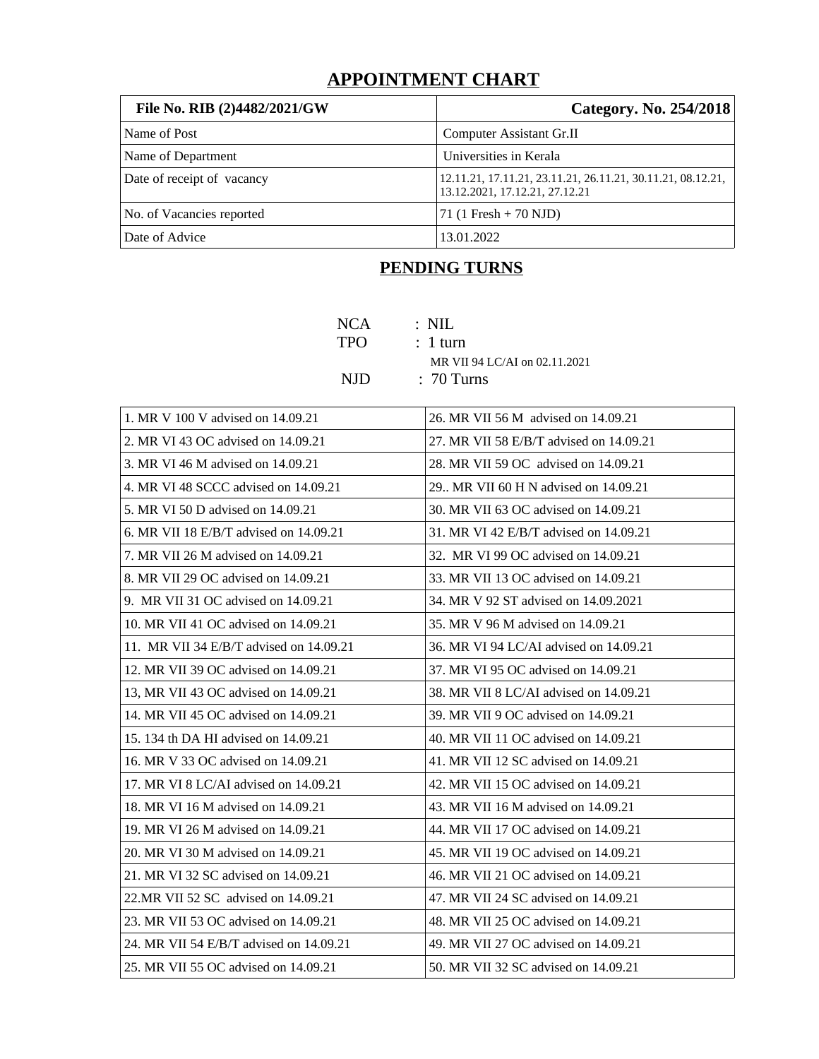## **APPOINTMENT CHART**

| File No. RIB (2)4482/2021/GW | Category. No. 254/2018                                                                        |
|------------------------------|-----------------------------------------------------------------------------------------------|
| Name of Post                 | Computer Assistant Gr.II                                                                      |
| Name of Department           | Universities in Kerala                                                                        |
| Date of receipt of vacancy   | 12.11.21, 17.11.21, 23.11.21, 26.11.21, 30.11.21, 08.12.21,<br>13.12.2021, 17.12.21, 27.12.21 |
| No. of Vacancies reported    | 71 (1 Fresh + 70 NJD)                                                                         |
| Date of Advice               | 13.01.2022                                                                                    |

# **PENDING TURNS**

| NCA  | : NIL                         |
|------|-------------------------------|
| TPO. | $: 1$ turn                    |
|      | MR VII 94 LC/AI on 02.11.2021 |
| NJD. | $: 70$ Turns                  |

| 1. MR V 100 V advised on 14.09.21       | 26. MR VII 56 M advised on 14.09.21     |
|-----------------------------------------|-----------------------------------------|
| 2. MR VI 43 OC advised on 14.09.21      | 27. MR VII 58 E/B/T advised on 14.09.21 |
| 3. MR VI 46 M advised on 14.09.21       | 28. MR VII 59 OC advised on 14.09.21    |
| 4. MR VI 48 SCCC advised on 14.09.21    | 29 MR VII 60 H N advised on 14.09.21    |
| 5. MR VI 50 D advised on 14.09.21       | 30. MR VII 63 OC advised on 14.09.21    |
| 6. MR VII 18 E/B/T advised on 14.09.21  | 31. MR VI 42 E/B/T advised on 14.09.21  |
| 7. MR VII 26 M advised on 14.09.21      | 32. MR VI 99 OC advised on 14.09.21     |
| 8. MR VII 29 OC advised on 14.09.21     | 33. MR VII 13 OC advised on 14.09.21    |
| 9. MR VII 31 OC advised on 14.09.21     | 34. MR V 92 ST advised on 14.09.2021    |
| 10. MR VII 41 OC advised on 14.09.21    | 35. MR V 96 M advised on 14.09.21       |
| 11. MR VII 34 E/B/T advised on 14.09.21 | 36. MR VI 94 LC/AI advised on 14.09.21  |
| 12. MR VII 39 OC advised on 14.09.21    | 37. MR VI 95 OC advised on 14.09.21     |
| 13, MR VII 43 OC advised on 14.09.21    | 38. MR VII 8 LC/AI advised on 14.09.21  |
| 14. MR VII 45 OC advised on 14.09.21    | 39. MR VII 9 OC advised on 14.09.21     |
| 15. 134 th DA HI advised on 14.09.21    | 40. MR VII 11 OC advised on 14.09.21    |
| 16. MR V 33 OC advised on 14.09.21      | 41. MR VII 12 SC advised on 14.09.21    |
| 17. MR VI 8 LC/AI advised on 14.09.21   | 42. MR VII 15 OC advised on 14.09.21    |
| 18. MR VI 16 M advised on 14.09.21      | 43. MR VII 16 M advised on 14.09.21     |
| 19. MR VI 26 M advised on 14.09.21      | 44. MR VII 17 OC advised on 14.09.21    |
| 20. MR VI 30 M advised on 14.09.21      | 45. MR VII 19 OC advised on 14.09.21    |
| 21. MR VI 32 SC advised on 14.09.21     | 46. MR VII 21 OC advised on 14.09.21    |
| 22.MR VII 52 SC advised on 14.09.21     | 47. MR VII 24 SC advised on 14.09.21    |
| 23. MR VII 53 OC advised on 14.09.21    | 48. MR VII 25 OC advised on 14.09.21    |
| 24. MR VII 54 E/B/T advised on 14.09.21 | 49. MR VII 27 OC advised on 14.09.21    |
| 25. MR VII 55 OC advised on 14.09.21    | 50. MR VII 32 SC advised on 14.09.21    |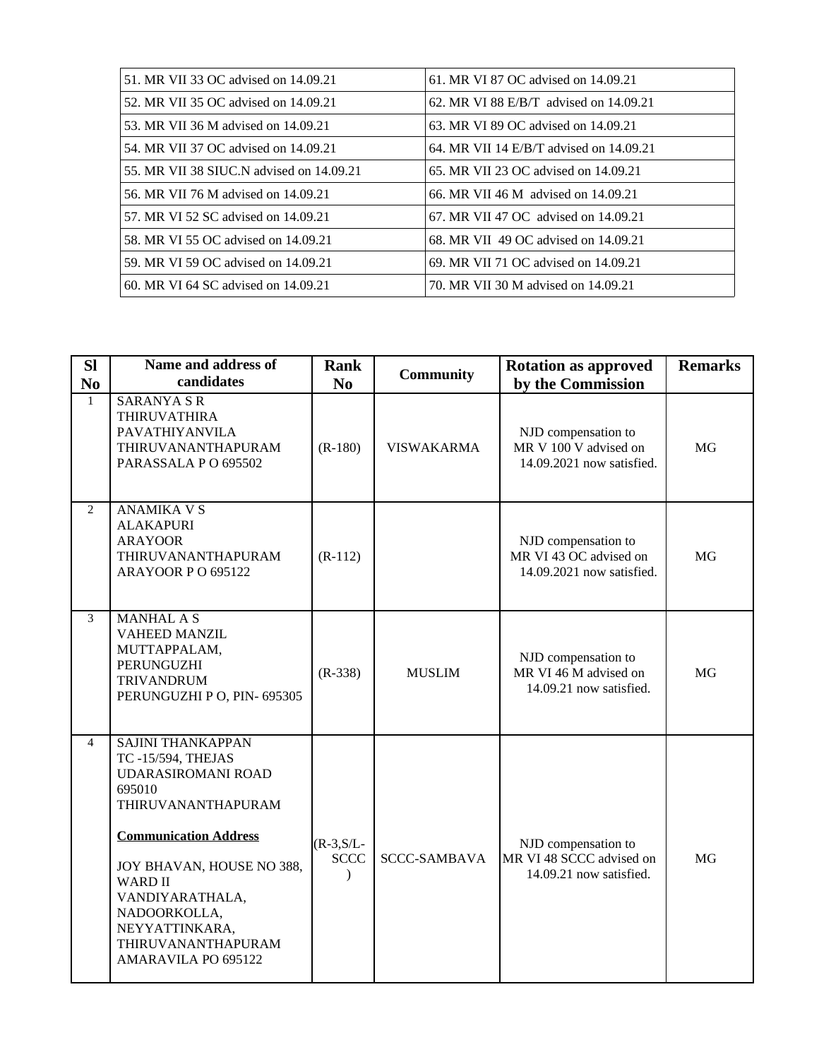| 51. MR VII 33 OC advised on 14.09.21     | 61. MR VI 87 OC advised on 14.09.21     |
|------------------------------------------|-----------------------------------------|
| 52. MR VII 35 OC advised on 14.09.21     | 62. MR VI 88 E/B/T advised on 14,09.21  |
| 53. MR VII 36 M advised on 14.09.21      | 63. MR VI 89 OC advised on 14.09.21     |
| 54. MR VII 37 OC advised on 14.09.21     | 64. MR VII 14 E/B/T advised on 14.09.21 |
| 55. MR VII 38 SIUC.N advised on 14.09.21 | 65. MR VII 23 OC advised on 14.09.21    |
| 56. MR VII 76 M advised on 14.09.21      | 66. MR VII 46 M advised on 14.09.21     |
| 57. MR VI 52 SC advised on 14.09.21      | 67. MR VII 47 OC advised on 14.09.21    |
| 58. MR VI 55 OC advised on 14.09.21      | 68. MR VII 49 OC advised on 14.09.21    |
| 59. MR VI 59 OC advised on 14.09.21      | 69. MR VII 71 OC advised on 14.09.21    |
| 60. MR VI 64 SC advised on 14.09.21      | 70. MR VII 30 M advised on 14.09.21     |

| <b>SI</b><br>N <sub>0</sub> | Name and address of<br>candidates                                                                                                                                                                                                                                                            | Rank<br>N <sub>0</sub>                   | <b>Community</b>    | <b>Rotation as approved</b><br>by the Commission                           | <b>Remarks</b> |
|-----------------------------|----------------------------------------------------------------------------------------------------------------------------------------------------------------------------------------------------------------------------------------------------------------------------------------------|------------------------------------------|---------------------|----------------------------------------------------------------------------|----------------|
| $\mathbf{1}$                | <b>SARANYA S R</b><br><b>THIRUVATHIRA</b><br>PAVATHIYANVILA<br>THIRUVANANTHAPURAM<br>PARASSALA P O 695502                                                                                                                                                                                    | $(R-180)$                                | <b>VISWAKARMA</b>   | NJD compensation to<br>MR V 100 V advised on<br>14.09.2021 now satisfied.  | MG             |
| $\overline{2}$              | <b>ANAMIKA V S</b><br><b>ALAKAPURI</b><br><b>ARAYOOR</b><br>THIRUVANANTHAPURAM<br><b>ARAYOOR P O 695122</b>                                                                                                                                                                                  | $(R-112)$                                |                     | NJD compensation to<br>MR VI 43 OC advised on<br>14.09.2021 now satisfied. | <b>MG</b>      |
| 3                           | <b>MANHAL A S</b><br><b>VAHEED MANZIL</b><br>MUTTAPPALAM,<br>PERUNGUZHI<br><b>TRIVANDRUM</b><br>PERUNGUZHI P O, PIN- 695305                                                                                                                                                                  | $(R-338)$                                | <b>MUSLIM</b>       | NJD compensation to<br>MR VI 46 M advised on<br>14.09.21 now satisfied.    | <b>MG</b>      |
| $\overline{4}$              | <b>SAJINI THANKAPPAN</b><br>TC -15/594, THEJAS<br>UDARASIROMANI ROAD<br>695010<br>THIRUVANANTHAPURAM<br><b>Communication Address</b><br>JOY BHAVAN, HOUSE NO 388,<br><b>WARD II</b><br>VANDIYARATHALA,<br>NADOORKOLLA,<br>NEYYATTINKARA,<br>THIRUVANANTHAPURAM<br><b>AMARAVILA PO 695122</b> | $(R-3, S/L-$<br><b>SCCC</b><br>$\lambda$ | <b>SCCC-SAMBAVA</b> | NJD compensation to<br>MR VI 48 SCCC advised on<br>14.09.21 now satisfied. | <b>MG</b>      |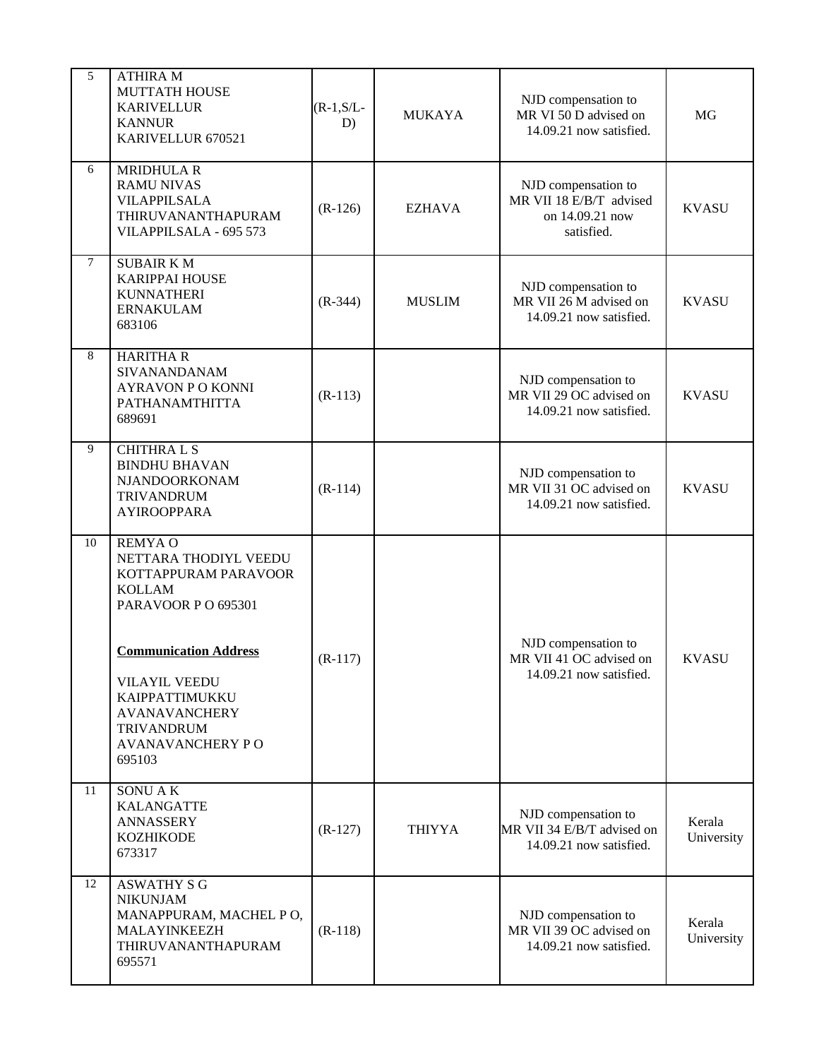| 5              | <b>ATHIRA M</b><br><b>MUTTATH HOUSE</b><br><b>KARIVELLUR</b><br><b>KANNUR</b><br>KARIVELLUR 670521                                                                                                                                                      | $(R-1, S/L-$<br>D) | <b>MUKAYA</b> | NJD compensation to<br>MR VI 50 D advised on<br>14.09.21 now satisfied.         | MG                   |
|----------------|---------------------------------------------------------------------------------------------------------------------------------------------------------------------------------------------------------------------------------------------------------|--------------------|---------------|---------------------------------------------------------------------------------|----------------------|
| 6              | <b>MRIDHULA R</b><br><b>RAMU NIVAS</b><br><b>VILAPPILSALA</b><br>THIRUVANANTHAPURAM<br>VILAPPILSALA - 695 573                                                                                                                                           | $(R-126)$          | <b>EZHAVA</b> | NJD compensation to<br>MR VII 18 E/B/T advised<br>on 14.09.21 now<br>satisfied. | <b>KVASU</b>         |
| $\overline{7}$ | <b>SUBAIR KM</b><br><b>KARIPPAI HOUSE</b><br><b>KUNNATHERI</b><br><b>ERNAKULAM</b><br>683106                                                                                                                                                            | $(R-344)$          | <b>MUSLIM</b> | NJD compensation to<br>MR VII 26 M advised on<br>14.09.21 now satisfied.        | <b>KVASU</b>         |
| 8              | <b>HARITHAR</b><br>SIVANANDANAM<br><b>AYRAVON P O KONNI</b><br>PATHANAMTHITTA<br>689691                                                                                                                                                                 | $(R-113)$          |               | NJD compensation to<br>MR VII 29 OC advised on<br>14.09.21 now satisfied.       | <b>KVASU</b>         |
| 9              | <b>CHITHRALS</b><br><b>BINDHU BHAVAN</b><br>NJANDOORKONAM<br><b>TRIVANDRUM</b><br><b>AYIROOPPARA</b>                                                                                                                                                    | $(R-114)$          |               | NJD compensation to<br>MR VII 31 OC advised on<br>14.09.21 now satisfied.       | <b>KVASU</b>         |
| 10             | <b>REMYAO</b><br>NETTARA THODIYL VEEDU<br>KOTTAPPURAM PARAVOOR<br><b>KOLLAM</b><br>PARAVOOR PO 695301<br><b>Communication Address</b><br><b>VILAYIL VEEDU</b><br>KAIPPATTIMUKKU<br><b>AVANAVANCHERY</b><br><b>TRIVANDRUM</b><br><b>AVANAVANCHERY PO</b> | $(R-117)$          |               | NJD compensation to<br>MR VII 41 OC advised on<br>14.09.21 now satisfied.       | <b>KVASU</b>         |
| 11             | 695103<br><b>SONUAK</b><br><b>KALANGATTE</b><br><b>ANNASSERY</b><br><b>KOZHIKODE</b><br>673317                                                                                                                                                          | $(R-127)$          | THIYYA        | NJD compensation to<br>MR VII 34 E/B/T advised on<br>14.09.21 now satisfied.    | Kerala<br>University |
| 12             | <b>ASWATHY S G</b><br><b>NIKUNJAM</b><br>MANAPPURAM, MACHEL PO,<br>MALAYINKEEZH<br>THIRUVANANTHAPURAM<br>695571                                                                                                                                         | $(R-118)$          |               | NJD compensation to<br>MR VII 39 OC advised on<br>14.09.21 now satisfied.       | Kerala<br>University |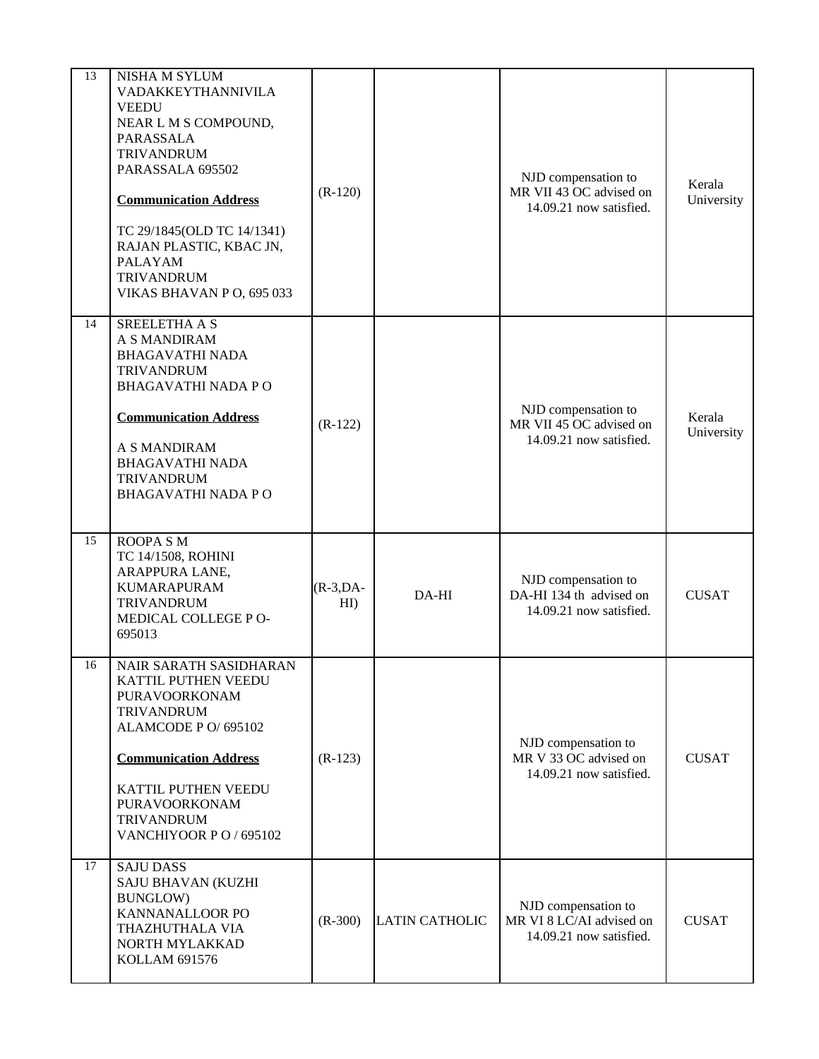| 13 | NISHA M SYLUM<br>VADAKKEYTHANNIVILA<br><b>VEEDU</b><br>NEAR L M S COMPOUND,<br>PARASSALA<br><b>TRIVANDRUM</b><br>PARASSALA 695502<br><b>Communication Address</b><br>TC 29/1845(OLD TC 14/1341)<br>RAJAN PLASTIC, KBAC JN,<br><b>PALAYAM</b><br><b>TRIVANDRUM</b><br>VIKAS BHAVAN P O, 695 033 | $(R-120)$         |                | NJD compensation to<br>MR VII 43 OC advised on<br>14.09.21 now satisfied.  | Kerala<br>University |
|----|------------------------------------------------------------------------------------------------------------------------------------------------------------------------------------------------------------------------------------------------------------------------------------------------|-------------------|----------------|----------------------------------------------------------------------------|----------------------|
| 14 | <b>SREELETHA A S</b><br>A S MANDIRAM<br><b>BHAGAVATHI NADA</b><br><b>TRIVANDRUM</b><br><b>BHAGAVATHI NADA PO</b><br><b>Communication Address</b><br>A S MANDIRAM<br><b>BHAGAVATHI NADA</b><br><b>TRIVANDRUM</b><br><b>BHAGAVATHI NADA PO</b>                                                   | $(R-122)$         |                | NJD compensation to<br>MR VII 45 OC advised on<br>14.09.21 now satisfied.  | Kerala<br>University |
| 15 | ROOPA S M<br>TC 14/1508, ROHINI<br>ARAPPURA LANE,<br><b>KUMARAPURAM</b><br><b>TRIVANDRUM</b><br>MEDICAL COLLEGE PO-<br>695013                                                                                                                                                                  | $(R-3,DA-$<br>HI) | DA-HI          | NJD compensation to<br>DA-HI 134 th advised on<br>14.09.21 now satisfied.  | <b>CUSAT</b>         |
| 16 | NAIR SARATH SASIDHARAN<br>KATTIL PUTHEN VEEDU<br>PURAVOORKONAM<br><b>TRIVANDRUM</b><br>ALAMCODE P O/ 695102<br><b>Communication Address</b><br>KATTIL PUTHEN VEEDU<br>PURAVOORKONAM<br><b>TRIVANDRUM</b><br>VANCHIYOOR PO / 695102                                                             | $(R-123)$         |                | NJD compensation to<br>MR V 33 OC advised on<br>14.09.21 now satisfied.    | <b>CUSAT</b>         |
| 17 | <b>SAJU DASS</b><br>SAJU BHAVAN (KUZHI<br><b>BUNGLOW)</b><br>KANNANALLOOR PO<br>THAZHUTHALA VIA<br>NORTH MYLAKKAD<br>KOLLAM 691576                                                                                                                                                             | $(R-300)$         | LATIN CATHOLIC | NJD compensation to<br>MR VI 8 LC/AI advised on<br>14.09.21 now satisfied. | <b>CUSAT</b>         |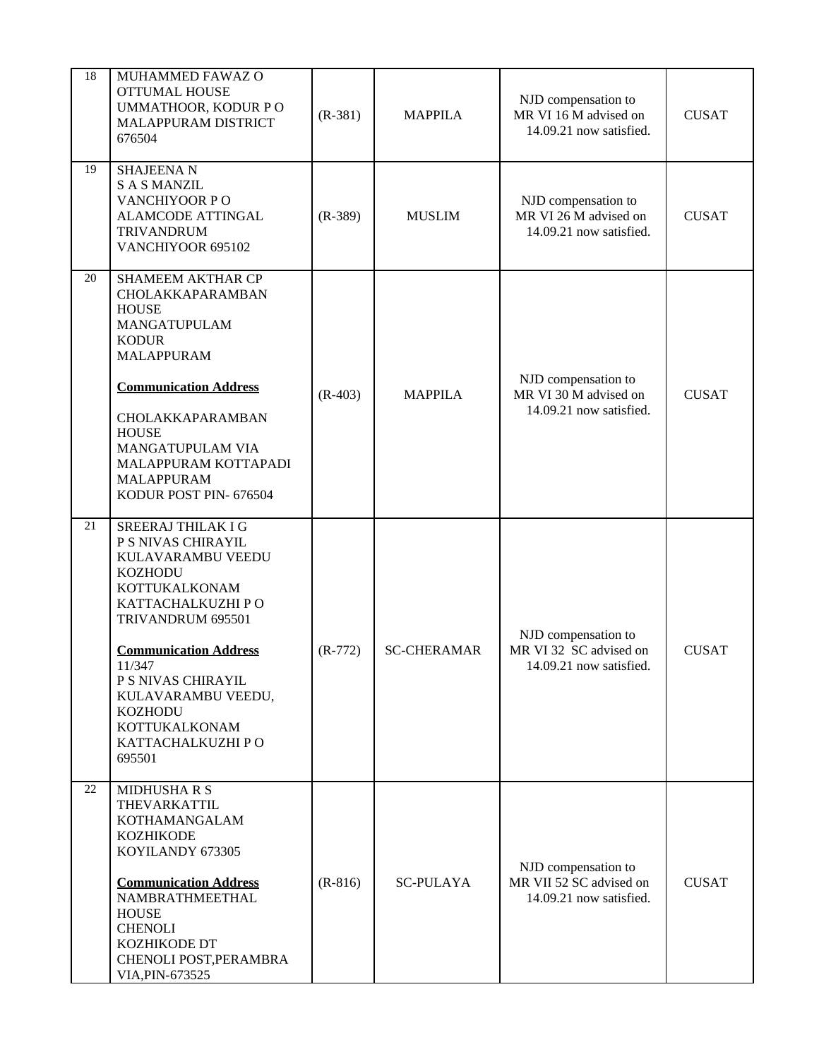| 18 | MUHAMMED FAWAZ O<br><b>OTTUMAL HOUSE</b><br>UMMATHOOR, KODUR PO<br>MALAPPURAM DISTRICT<br>676504                                                                                                                                                                                                    | $(R-381)$ | <b>MAPPILA</b>     | NJD compensation to<br>MR VI 16 M advised on<br>14.09.21 now satisfied.   | <b>CUSAT</b> |
|----|-----------------------------------------------------------------------------------------------------------------------------------------------------------------------------------------------------------------------------------------------------------------------------------------------------|-----------|--------------------|---------------------------------------------------------------------------|--------------|
| 19 | <b>SHAJEENAN</b><br><b>SAS MANZIL</b><br>VANCHIYOOR PO<br><b>ALAMCODE ATTINGAL</b><br><b>TRIVANDRUM</b><br>VANCHIYOOR 695102                                                                                                                                                                        | $(R-389)$ | <b>MUSLIM</b>      | NJD compensation to<br>MR VI 26 M advised on<br>14.09.21 now satisfied.   | <b>CUSAT</b> |
| 20 | <b>SHAMEEM AKTHAR CP</b><br>CHOLAKKAPARAMBAN<br><b>HOUSE</b><br>MANGATUPULAM<br><b>KODUR</b><br><b>MALAPPURAM</b><br><b>Communication Address</b><br>CHOLAKKAPARAMBAN<br><b>HOUSE</b><br>MANGATUPULAM VIA<br>MALAPPURAM KOTTAPADI<br><b>MALAPPURAM</b><br>KODUR POST PIN- 676504                    | $(R-403)$ | <b>MAPPILA</b>     | NJD compensation to<br>MR VI 30 M advised on<br>14.09.21 now satisfied.   | <b>CUSAT</b> |
| 21 | <b>SREERAJ THILAK I G</b><br>P S NIVAS CHIRAYIL<br>KULAVARAMBU VEEDU<br><b>KOZHODU</b><br>KOTTUKALKONAM<br>KATTACHALKUZHI P O<br>TRIVANDRUM 695501<br><b>Communication Address</b><br>11/347<br>P S NIVAS CHIRAYIL<br>KULAVARAMBU VEEDU,<br>KOZHODU<br>KOTTUKALKONAM<br>KATTACHALKUZHI PO<br>695501 | $(R-772)$ | <b>SC-CHERAMAR</b> | NJD compensation to<br>MR VI 32 SC advised on<br>14.09.21 now satisfied.  | <b>CUSAT</b> |
| 22 | <b>MIDHUSHARS</b><br>THEVARKATTIL<br>KOTHAMANGALAM<br><b>KOZHIKODE</b><br>KOYILANDY 673305<br><b>Communication Address</b><br>NAMBRATHMEETHAL<br><b>HOUSE</b><br><b>CHENOLI</b><br>KOZHIKODE DT<br>CHENOLI POST, PERAMBRA<br>VIA, PIN-673525                                                        | $(R-816)$ | <b>SC-PULAYA</b>   | NJD compensation to<br>MR VII 52 SC advised on<br>14.09.21 now satisfied. | <b>CUSAT</b> |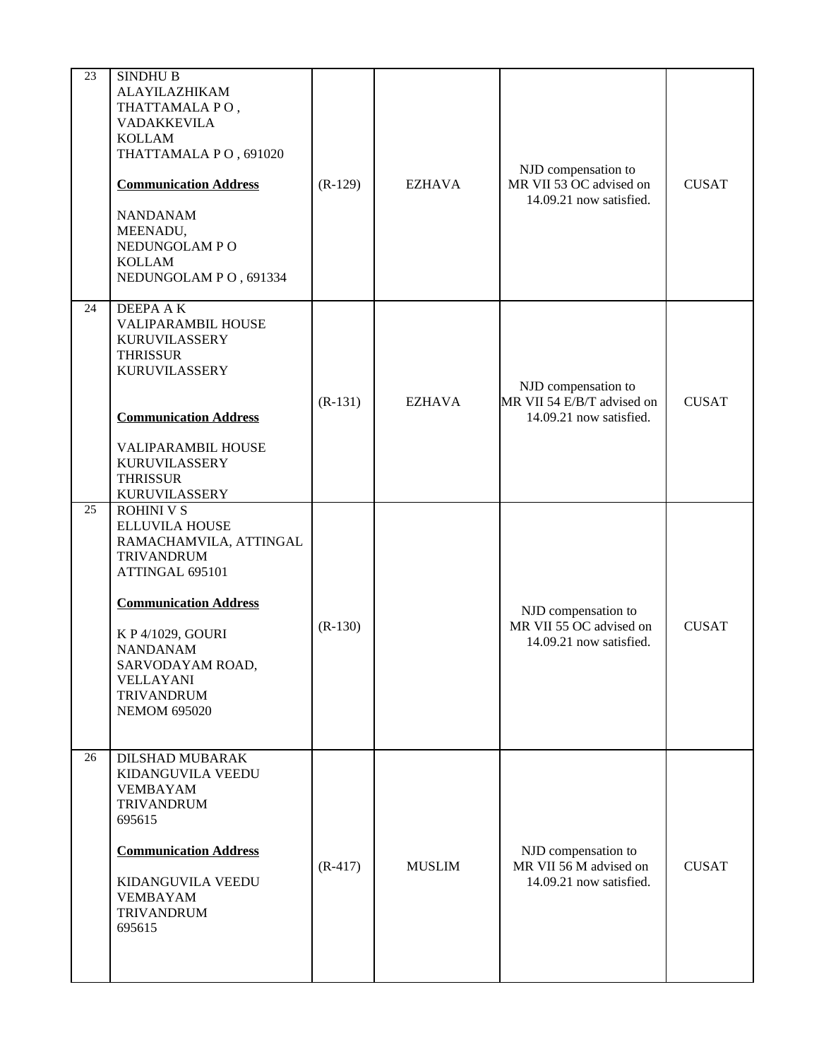| 23 | SINDHU B<br>ALAYILAZHIKAM<br>THATTAMALA PO,<br>VADAKKEVILA<br><b>KOLLAM</b><br>THATTAMALA PO, 691020<br><b>Communication Address</b><br><b>NANDANAM</b><br>MEENADU,<br>NEDUNGOLAM PO<br><b>KOLLAM</b><br>NEDUNGOLAM PO, 691334                                    | $(R-129)$ | <b>EZHAVA</b> | NJD compensation to<br>MR VII 53 OC advised on<br>14.09.21 now satisfied.    | <b>CUSAT</b> |
|----|-------------------------------------------------------------------------------------------------------------------------------------------------------------------------------------------------------------------------------------------------------------------|-----------|---------------|------------------------------------------------------------------------------|--------------|
| 24 | DEEPA A K<br>VALIPARAMBIL HOUSE<br><b>KURUVILASSERY</b><br><b>THRISSUR</b><br><b>KURUVILASSERY</b><br><b>Communication Address</b><br>VALIPARAMBIL HOUSE<br><b>KURUVILASSERY</b><br><b>THRISSUR</b><br>KURUVILASSERY                                              | $(R-131)$ | <b>EZHAVA</b> | NJD compensation to<br>MR VII 54 E/B/T advised on<br>14.09.21 now satisfied. | <b>CUSAT</b> |
| 25 | <b>ROHINI V S</b><br>ELLUVILA HOUSE<br>RAMACHAMVILA, ATTINGAL<br><b>TRIVANDRUM</b><br>ATTINGAL 695101<br><b>Communication Address</b><br>K P 4/1029, GOURI<br><b>NANDANAM</b><br>SARVODAYAM ROAD,<br><b>VELLAYANI</b><br><b>TRIVANDRUM</b><br><b>NEMOM 695020</b> | $(R-130)$ |               | NJD compensation to<br>MR VII 55 OC advised on<br>14.09.21 now satisfied.    | <b>CUSAT</b> |
| 26 | DILSHAD MUBARAK<br>KIDANGUVILA VEEDU<br><b>VEMBAYAM</b><br><b>TRIVANDRUM</b><br>695615<br><b>Communication Address</b><br>KIDANGUVILA VEEDU<br><b>VEMBAYAM</b><br><b>TRIVANDRUM</b><br>695615                                                                     | $(R-417)$ | <b>MUSLIM</b> | NJD compensation to<br>MR VII 56 M advised on<br>14.09.21 now satisfied.     | <b>CUSAT</b> |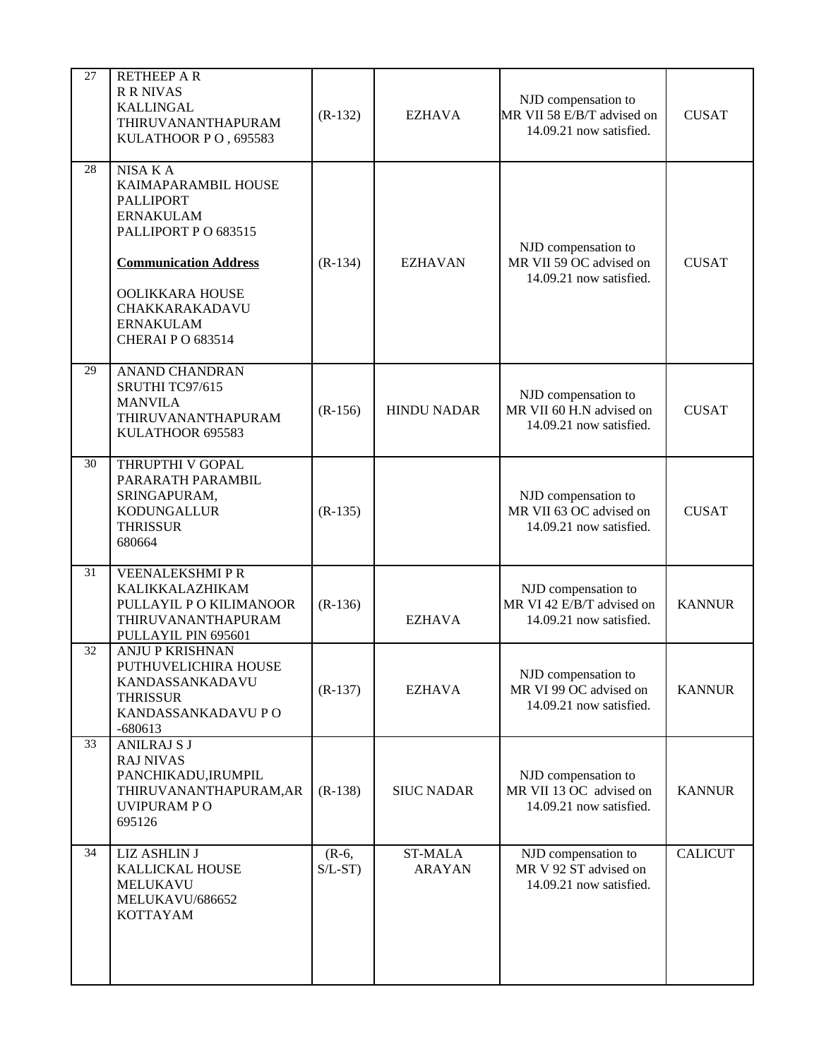| 27 | <b>RETHEEP A R</b><br><b>R R NIVAS</b><br><b>KALLINGAL</b><br>THIRUVANANTHAPURAM<br>KULATHOOR PO, 695583                                                                                                           | $(R-132)$             | <b>EZHAVA</b>                   | NJD compensation to<br>MR VII 58 E/B/T advised on<br>14.09.21 now satisfied. | <b>CUSAT</b>   |
|----|--------------------------------------------------------------------------------------------------------------------------------------------------------------------------------------------------------------------|-----------------------|---------------------------------|------------------------------------------------------------------------------|----------------|
| 28 | NISA KA<br>KAIMAPARAMBIL HOUSE<br><b>PALLIPORT</b><br><b>ERNAKULAM</b><br>PALLIPORT P O 683515<br><b>Communication Address</b><br>OOLIKKARA HOUSE<br>CHAKKARAKADAVU<br><b>ERNAKULAM</b><br><b>CHERAIP O 683514</b> | $(R-134)$             | <b>EZHAVAN</b>                  | NJD compensation to<br>MR VII 59 OC advised on<br>14.09.21 now satisfied.    | <b>CUSAT</b>   |
| 29 | <b>ANAND CHANDRAN</b><br>SRUTHI TC97/615<br><b>MANVILA</b><br>THIRUVANANTHAPURAM<br>KULATHOOR 695583                                                                                                               | $(R-156)$             | <b>HINDU NADAR</b>              | NJD compensation to<br>MR VII 60 H.N advised on<br>14.09.21 now satisfied.   | <b>CUSAT</b>   |
| 30 | THRUPTHI V GOPAL<br>PARARATH PARAMBIL<br>SRINGAPURAM,<br><b>KODUNGALLUR</b><br><b>THRISSUR</b><br>680664                                                                                                           | $(R-135)$             |                                 | NJD compensation to<br>MR VII 63 OC advised on<br>14.09.21 now satisfied.    | <b>CUSAT</b>   |
| 31 | <b>VEENALEKSHMIPR</b><br>KALIKKALAZHIKAM<br>PULLAYIL P O KILIMANOOR<br>THIRUVANANTHAPURAM<br>PULLAYIL PIN 695601                                                                                                   | $(R-136)$             | <b>EZHAVA</b>                   | NJD compensation to<br>MR VI 42 E/B/T advised on<br>14.09.21 now satisfied.  | <b>KANNUR</b>  |
| 32 | <b>ANJU P KRISHNAN</b><br>PUTHUVELICHIRA HOUSE<br>KANDASSANKADAVU<br><b>THRISSUR</b><br>KANDASSANKADAVU P O<br>$-680613$                                                                                           | $(R-137)$             | <b>EZHAVA</b>                   | NJD compensation to<br>MR VI 99 OC advised on<br>14.09.21 now satisfied.     | <b>KANNUR</b>  |
| 33 | <b>ANILRAJ S J</b><br><b>RAJ NIVAS</b><br>PANCHIKADU, IRUMPIL<br>THIRUVANANTHAPURAM, AR<br>UVIPURAM PO<br>695126                                                                                                   | $(R-138)$             | <b>SIUC NADAR</b>               | NJD compensation to<br>MR VII 13 OC advised on<br>14.09.21 now satisfied.    | <b>KANNUR</b>  |
| 34 | LIZ ASHLIN J<br>KALLICKAL HOUSE<br><b>MELUKAVU</b><br>MELUKAVU/686652<br><b>KOTTAYAM</b>                                                                                                                           | $(R-6,$<br>$S/L$ -ST) | <b>ST-MALA</b><br><b>ARAYAN</b> | NJD compensation to<br>MR V 92 ST advised on<br>14.09.21 now satisfied.      | <b>CALICUT</b> |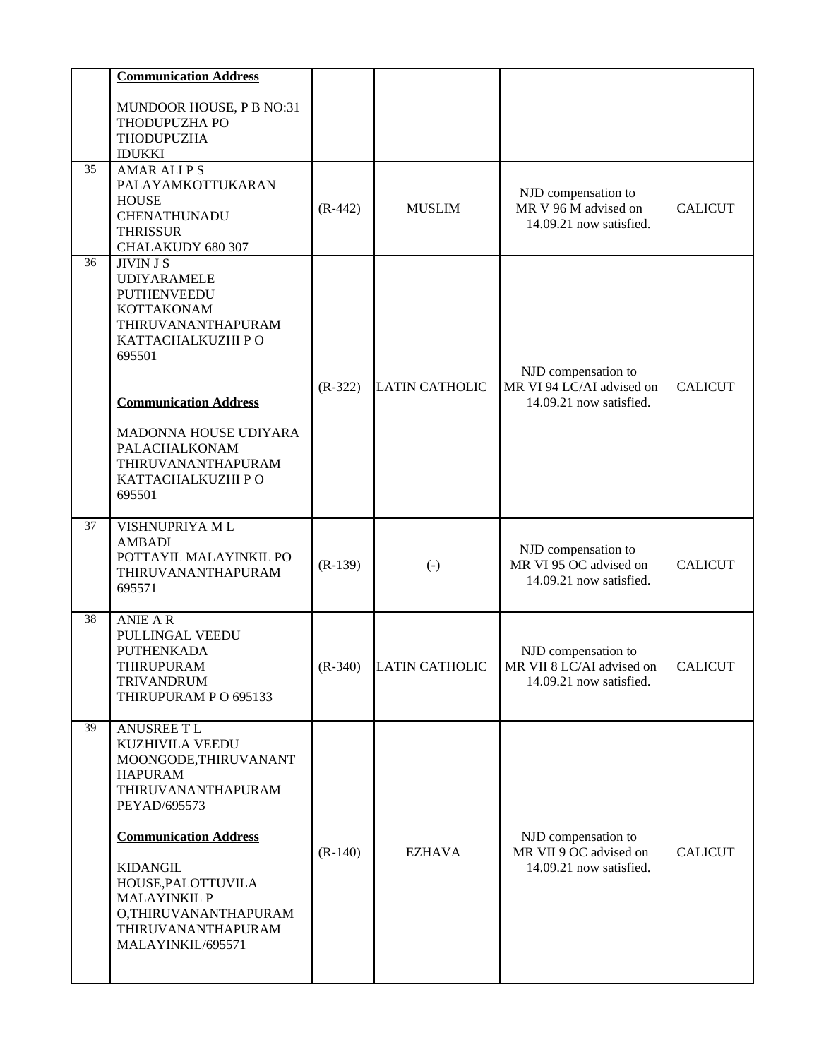|    | <b>Communication Address</b>                                                                                                                                                                                                                                                                    |           |                       |                                                                             |                |
|----|-------------------------------------------------------------------------------------------------------------------------------------------------------------------------------------------------------------------------------------------------------------------------------------------------|-----------|-----------------------|-----------------------------------------------------------------------------|----------------|
|    | MUNDOOR HOUSE, P B NO:31<br>THODUPUZHA PO<br>THODUPUZHA<br><b>IDUKKI</b>                                                                                                                                                                                                                        |           |                       |                                                                             |                |
| 35 | <b>AMAR ALIPS</b><br>PALAYAMKOTTUKARAN<br><b>HOUSE</b><br><b>CHENATHUNADU</b><br><b>THRISSUR</b><br>CHALAKUDY 680 307                                                                                                                                                                           | $(R-442)$ | <b>MUSLIM</b>         | NJD compensation to<br>MR V 96 M advised on<br>14.09.21 now satisfied.      | <b>CALICUT</b> |
| 36 | <b>JIVIN J S</b><br><b>UDIYARAMELE</b><br><b>PUTHENVEEDU</b><br>KOTTAKONAM<br>THIRUVANANTHAPURAM<br>KATTACHALKUZHI PO<br>695501                                                                                                                                                                 | $(R-322)$ | <b>LATIN CATHOLIC</b> | NJD compensation to<br>MR VI 94 LC/AI advised on                            | <b>CALICUT</b> |
|    | <b>Communication Address</b><br>MADONNA HOUSE UDIYARA<br>PALACHALKONAM<br>THIRUVANANTHAPURAM<br>KATTACHALKUZHI PO<br>695501                                                                                                                                                                     |           |                       | 14.09.21 now satisfied.                                                     |                |
| 37 | VISHNUPRIYA ML<br><b>AMBADI</b><br>POTTAYIL MALAYINKIL PO<br>THIRUVANANTHAPURAM<br>695571                                                                                                                                                                                                       | $(R-139)$ | $(\cdot)$             | NJD compensation to<br>MR VI 95 OC advised on<br>14.09.21 now satisfied.    | <b>CALICUT</b> |
| 38 | <b>ANIE AR</b><br>PULLINGAL VEEDU<br>PUTHENKADA<br>THIRUPURAM<br><b>TRIVANDRUM</b><br>THIRUPURAM P O 695133                                                                                                                                                                                     | $(R-340)$ | LATIN CATHOLIC        | NJD compensation to<br>MR VII 8 LC/AI advised on<br>14.09.21 now satisfied. | <b>CALICUT</b> |
| 39 | <b>ANUSREE TL</b><br><b>KUZHIVILA VEEDU</b><br>MOONGODE, THIRUVANANT<br><b>HAPURAM</b><br>THIRUVANANTHAPURAM<br>PEYAD/695573<br><b>Communication Address</b><br><b>KIDANGIL</b><br>HOUSE, PALOTTUVILA<br><b>MALAYINKIL P</b><br>O,THIRUVANANTHAPURAM<br>THIRUVANANTHAPURAM<br>MALAYINKIL/695571 | $(R-140)$ | <b>EZHAVA</b>         | NJD compensation to<br>MR VII 9 OC advised on<br>14.09.21 now satisfied.    | <b>CALICUT</b> |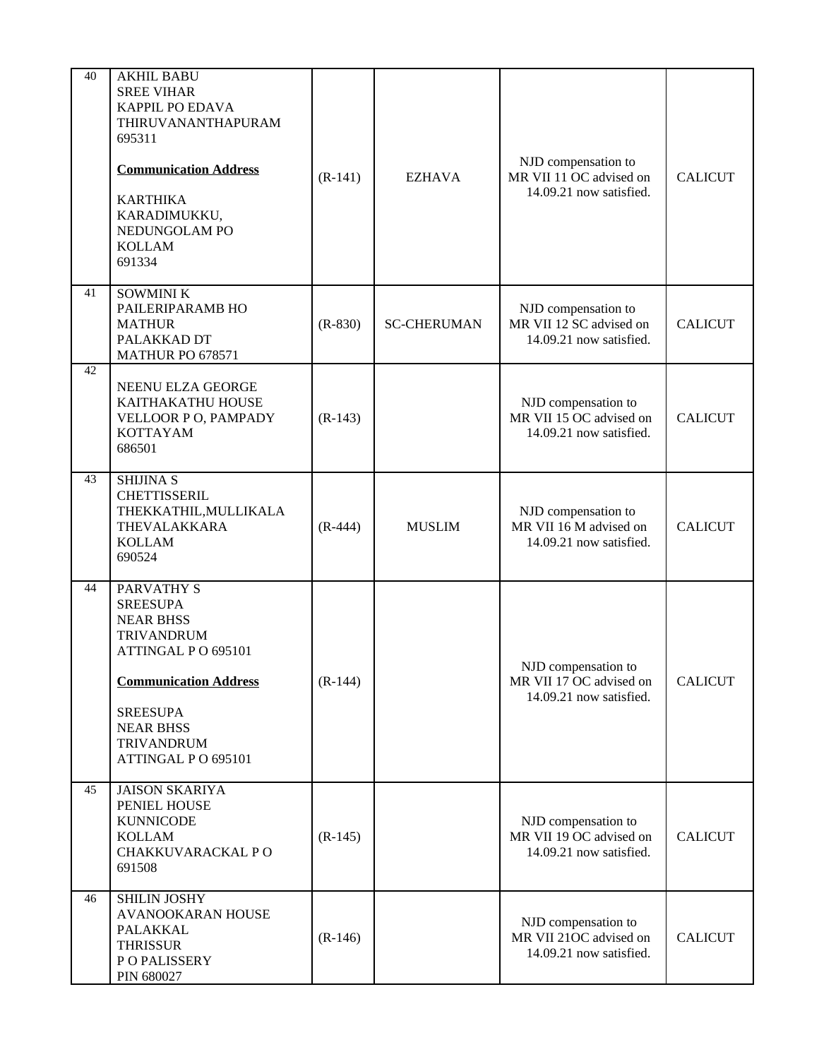| 40 | <b>AKHIL BABU</b><br><b>SREE VIHAR</b><br><b>KAPPIL PO EDAVA</b><br>THIRUVANANTHAPURAM<br>695311<br><b>Communication Address</b><br><b>KARTHIKA</b><br>KARADIMUKKU,<br>NEDUNGOLAM PO<br><b>KOLLAM</b><br>691334       | $(R-141)$ | <b>EZHAVA</b>      | NJD compensation to<br>MR VII 11 OC advised on<br>14.09.21 now satisfied. | <b>CALICUT</b> |
|----|-----------------------------------------------------------------------------------------------------------------------------------------------------------------------------------------------------------------------|-----------|--------------------|---------------------------------------------------------------------------|----------------|
| 41 | SOWMINI K<br>PAILERIPARAMB HO<br><b>MATHUR</b><br>PALAKKAD DT<br>MATHUR PO 678571                                                                                                                                     | $(R-830)$ | <b>SC-CHERUMAN</b> | NJD compensation to<br>MR VII 12 SC advised on<br>14.09.21 now satisfied. | <b>CALICUT</b> |
| 42 | <b>NEENU ELZA GEORGE</b><br>KAITHAKATHU HOUSE<br>VELLOOR P O, PAMPADY<br><b>KOTTAYAM</b><br>686501                                                                                                                    | $(R-143)$ |                    | NJD compensation to<br>MR VII 15 OC advised on<br>14.09.21 now satisfied. | <b>CALICUT</b> |
| 43 | <b>SHIJINA S</b><br><b>CHETTISSERIL</b><br>THEKKATHIL, MULLIKALA<br>THEVALAKKARA<br><b>KOLLAM</b><br>690524                                                                                                           | $(R-444)$ | <b>MUSLIM</b>      | NJD compensation to<br>MR VII 16 M advised on<br>14.09.21 now satisfied.  | <b>CALICUT</b> |
| 44 | <b>PARVATHY S</b><br><b>SREESUPA</b><br><b>NEAR BHSS</b><br><b>TRIVANDRUM</b><br>ATTINGAL PO 695101<br><b>Communication Address</b><br><b>SREESUPA</b><br><b>NEAR BHSS</b><br><b>TRIVANDRUM</b><br>ATTINGAL PO 695101 | $(R-144)$ |                    | NJD compensation to<br>MR VII 17 OC advised on<br>14.09.21 now satisfied. | <b>CALICUT</b> |
| 45 | <b>JAISON SKARIYA</b><br>PENIEL HOUSE<br><b>KUNNICODE</b><br><b>KOLLAM</b><br>CHAKKUVARACKAL PO<br>691508                                                                                                             | $(R-145)$ |                    | NJD compensation to<br>MR VII 19 OC advised on<br>14.09.21 now satisfied. | <b>CALICUT</b> |
| 46 | SHILIN JOSHY<br>AVANOOKARAN HOUSE<br>PALAKKAL<br><b>THRISSUR</b><br>P O PALISSERY<br>PIN 680027                                                                                                                       | $(R-146)$ |                    | NJD compensation to<br>MR VII 21OC advised on<br>14.09.21 now satisfied.  | <b>CALICUT</b> |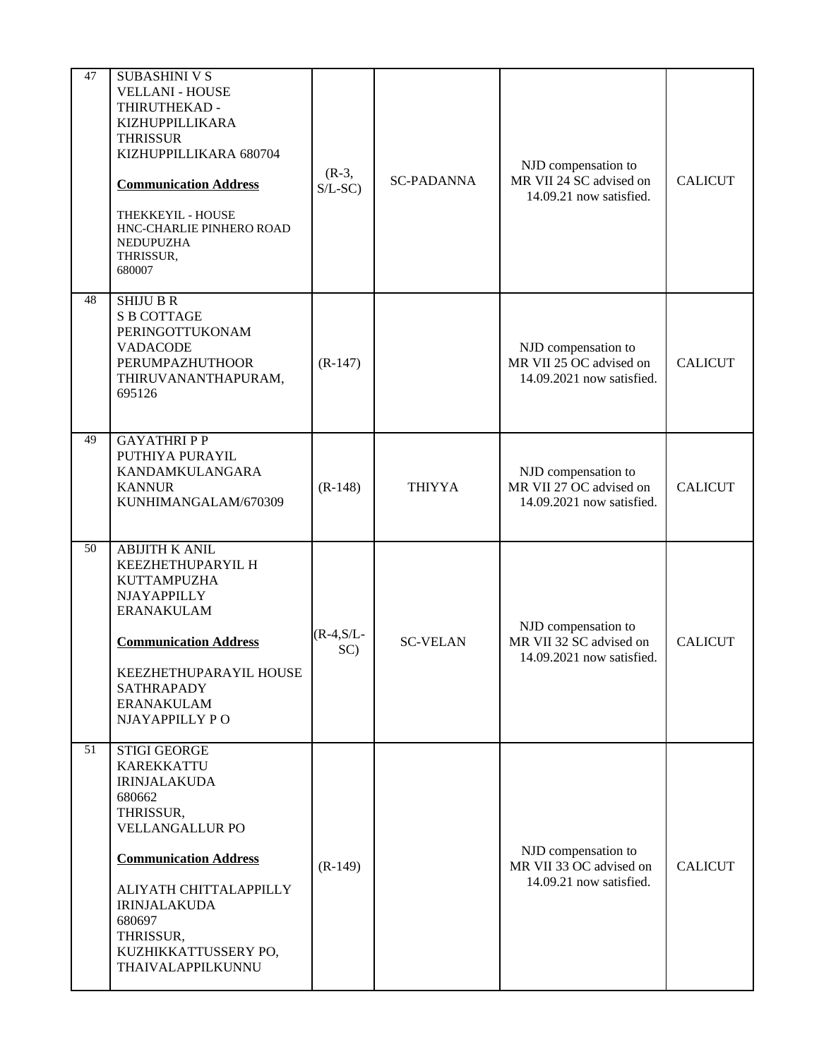| 47 | <b>SUBASHINI V S</b><br><b>VELLANI - HOUSE</b><br>THIRUTHEKAD -<br>KIZHUPPILLIKARA<br><b>THRISSUR</b><br>KIZHUPPILLIKARA 680704<br><b>Communication Address</b><br>THEKKEYIL - HOUSE<br>HNC-CHARLIE PINHERO ROAD<br>NEDUPUZHA<br>THRISSUR,<br>680007                  | $(R-3,$<br>$S/L-SC$  | <b>SC-PADANNA</b> | NJD compensation to<br>MR VII 24 SC advised on<br>14.09.21 now satisfied.   | <b>CALICUT</b> |
|----|-----------------------------------------------------------------------------------------------------------------------------------------------------------------------------------------------------------------------------------------------------------------------|----------------------|-------------------|-----------------------------------------------------------------------------|----------------|
| 48 | <b>SHIJU B R</b><br><b>S B COTTAGE</b><br>PERINGOTTUKONAM<br><b>VADACODE</b><br>PERUMPAZHUTHOOR<br>THIRUVANANTHAPURAM,<br>695126                                                                                                                                      | $(R-147)$            |                   | NJD compensation to<br>MR VII 25 OC advised on<br>14.09.2021 now satisfied. | <b>CALICUT</b> |
| 49 | <b>GAYATHRIPP</b><br>PUTHIYA PURAYIL<br>KANDAMKULANGARA<br><b>KANNUR</b><br>KUNHIMANGALAM/670309                                                                                                                                                                      | $(R-148)$            | <b>THIYYA</b>     | NJD compensation to<br>MR VII 27 OC advised on<br>14.09.2021 now satisfied. | <b>CALICUT</b> |
| 50 | <b>ABIJITH K ANIL</b><br>KEEZHETHUPARYIL H<br>KUTTAMPUZHA<br>NJAYAPPILLY<br><b>ERANAKULAM</b><br><b>Communication Address</b><br>KEEZHETHUPARAYIL HOUSE<br><b>SATHRAPADY</b><br><b>ERANAKULAM</b><br>NJAYAPPILLY PO                                                   | $(R-4, S/L -$<br>SC) | <b>SC-VELAN</b>   | NJD compensation to<br>MR VII 32 SC advised on<br>14.09.2021 now satisfied. | <b>CALICUT</b> |
| 51 | <b>STIGI GEORGE</b><br><b>KAREKKATTU</b><br><b>IRINJALAKUDA</b><br>680662<br>THRISSUR,<br><b>VELLANGALLUR PO</b><br><b>Communication Address</b><br>ALIYATH CHITTALAPPILLY<br><b>IRINJALAKUDA</b><br>680697<br>THRISSUR,<br>KUZHIKKATTUSSERY PO,<br>THAIVALAPPILKUNNU | $(R-149)$            |                   | NJD compensation to<br>MR VII 33 OC advised on<br>14.09.21 now satisfied.   | <b>CALICUT</b> |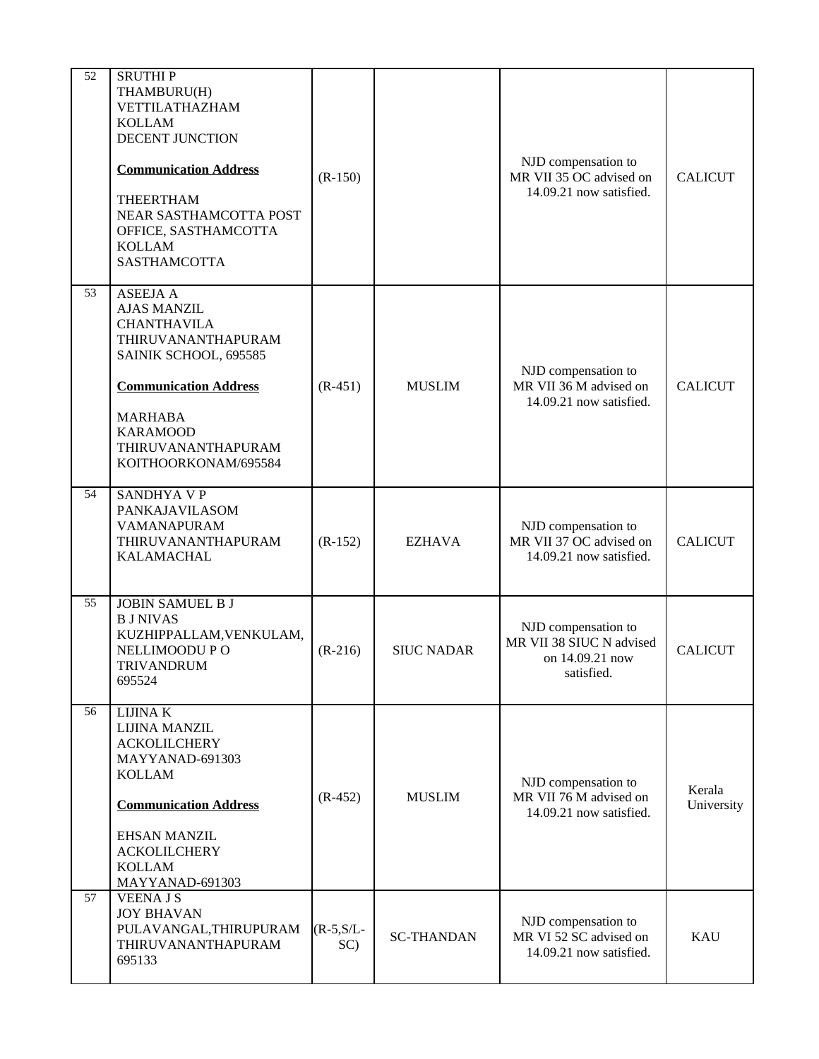| 52 | <b>SRUTHIP</b><br>THAMBURU(H)<br>VETTILATHAZHAM<br><b>KOLLAM</b><br>DECENT JUNCTION<br><b>Communication Address</b><br>THEERTHAM<br>NEAR SASTHAMCOTTA POST<br>OFFICE, SASTHAMCOTTA<br><b>KOLLAM</b><br><b>SASTHAMCOTTA</b>    | $(R-150)$           |                   | NJD compensation to<br>MR VII 35 OC advised on<br>14.09.21 now satisfied.        | <b>CALICUT</b>       |
|----|-------------------------------------------------------------------------------------------------------------------------------------------------------------------------------------------------------------------------------|---------------------|-------------------|----------------------------------------------------------------------------------|----------------------|
| 53 | <b>ASEEJA A</b><br><b>AJAS MANZIL</b><br><b>CHANTHAVILA</b><br>THIRUVANANTHAPURAM<br>SAINIK SCHOOL, 695585<br><b>Communication Address</b><br><b>MARHABA</b><br><b>KARAMOOD</b><br>THIRUVANANTHAPURAM<br>KOITHOORKONAM/695584 | $(R-451)$           | <b>MUSLIM</b>     | NJD compensation to<br>MR VII 36 M advised on<br>14.09.21 now satisfied.         | <b>CALICUT</b>       |
| 54 | <b>SANDHYA V P</b><br>PANKAJAVILASOM<br><b>VAMANAPURAM</b><br>THIRUVANANTHAPURAM<br>KALAMACHAL                                                                                                                                | $(R-152)$           | <b>EZHAVA</b>     | NJD compensation to<br>MR VII 37 OC advised on<br>14.09.21 now satisfied.        | <b>CALICUT</b>       |
| 55 | <b>JOBIN SAMUEL B J</b><br><b>BJ NIVAS</b><br>KUZHIPPALLAM, VENKULAM,<br>NELLIMOODU P O<br><b>TRIVANDRUM</b><br>695524                                                                                                        | $(R-216)$           | <b>SIUC NADAR</b> | NJD compensation to<br>MR VII 38 SIUC N advised<br>on 14.09.21 now<br>satisfied. | <b>CALICUT</b>       |
| 56 | <b>LIJINAK</b><br>LIJINA MANZIL<br><b>ACKOLILCHERY</b><br>MAYYANAD-691303<br><b>KOLLAM</b><br><b>Communication Address</b><br><b>EHSAN MANZIL</b><br><b>ACKOLILCHERY</b><br><b>KOLLAM</b><br>MAYYANAD-691303                  | $(R-452)$           | <b>MUSLIM</b>     | NJD compensation to<br>MR VII 76 M advised on<br>14.09.21 now satisfied.         | Kerala<br>University |
| 57 | <b>VEENAJS</b><br><b>JOY BHAVAN</b><br>PULAVANGAL, THIRUPURAM<br>THIRUVANANTHAPURAM<br>695133                                                                                                                                 | $(R-5, S/L-$<br>SC) | <b>SC-THANDAN</b> | NJD compensation to<br>MR VI 52 SC advised on<br>14.09.21 now satisfied.         | <b>KAU</b>           |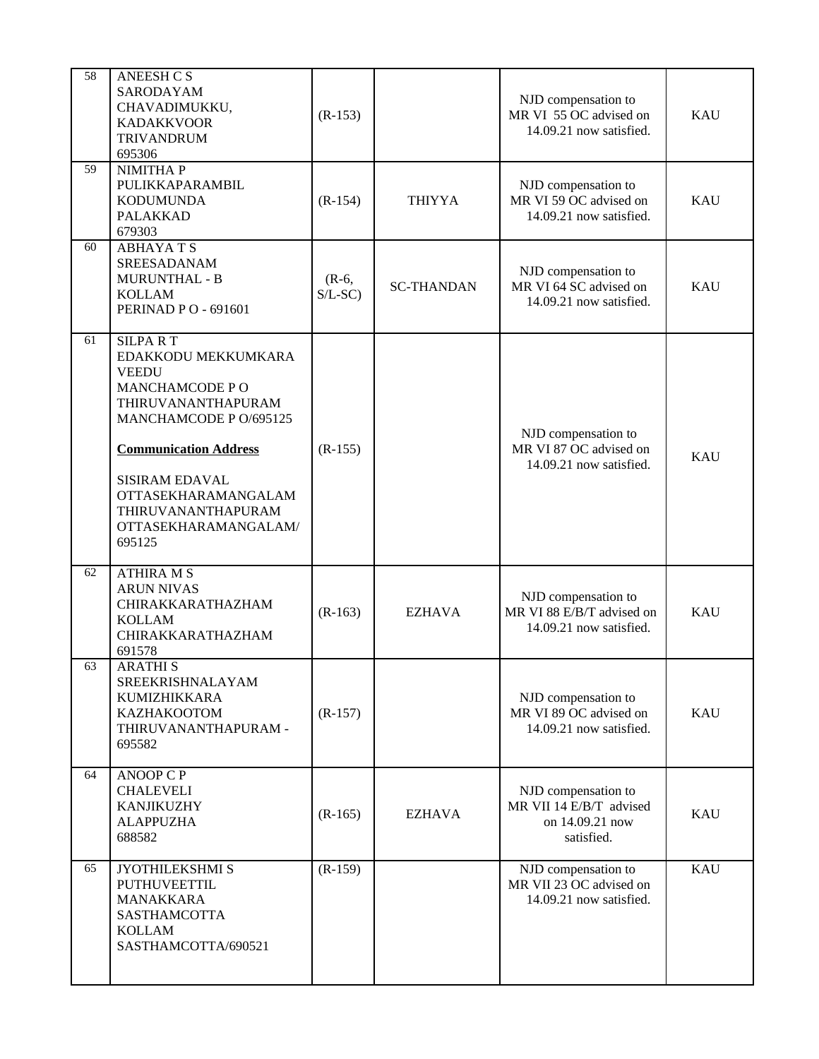| 58 | <b>ANEESH CS</b><br>SARODAYAM<br>CHAVADIMUKKU,<br><b>KADAKKVOOR</b><br><b>TRIVANDRUM</b><br>695306                                                                                                                                                       | $(R-153)$           |                   | NJD compensation to<br>MR VI 55 OC advised on<br>14.09.21 now satisfied.        | <b>KAU</b> |
|----|----------------------------------------------------------------------------------------------------------------------------------------------------------------------------------------------------------------------------------------------------------|---------------------|-------------------|---------------------------------------------------------------------------------|------------|
| 59 | NIMITHA P<br>PULIKKAPARAMBIL<br><b>KODUMUNDA</b><br><b>PALAKKAD</b><br>679303                                                                                                                                                                            | $(R-154)$           | <b>THIYYA</b>     | NJD compensation to<br>MR VI 59 OC advised on<br>14.09.21 now satisfied.        | <b>KAU</b> |
| 60 | <b>ABHAYATS</b><br>SREESADANAM<br><b>MURUNTHAL - B</b><br><b>KOLLAM</b><br>PERINAD PO - 691601                                                                                                                                                           | $(R-6,$<br>$S/L-SC$ | <b>SC-THANDAN</b> | NJD compensation to<br>MR VI 64 SC advised on<br>14.09.21 now satisfied.        | <b>KAU</b> |
| 61 | <b>SILPART</b><br>EDAKKODU MEKKUMKARA<br><b>VEEDU</b><br>MANCHAMCODE PO<br>THIRUVANANTHAPURAM<br>MANCHAMCODE P O/695125<br><b>Communication Address</b><br>SISIRAM EDAVAL<br>OTTASEKHARAMANGALAM<br>THIRUVANANTHAPURAM<br>OTTASEKHARAMANGALAM/<br>695125 | $(R-155)$           |                   | NJD compensation to<br>MR VI 87 OC advised on<br>14.09.21 now satisfied.        | <b>KAU</b> |
| 62 | <b>ATHIRA M S</b><br><b>ARUN NIVAS</b><br>CHIRAKKARATHAZHAM<br><b>KOLLAM</b><br>CHIRAKKARATHAZHAM<br>691578                                                                                                                                              | $(R-163)$           | <b>EZHAVA</b>     | NJD compensation to<br>MR VI 88 E/B/T advised on<br>14.09.21 now satisfied.     | <b>KAU</b> |
| 63 | <b>ARATHIS</b><br>SREEKRISHNALAYAM<br>KUMIZHIKKARA<br>KAZHAKOOTOM<br>THIRUVANANTHAPURAM -<br>695582                                                                                                                                                      | $(R-157)$           |                   | NJD compensation to<br>MR VI 89 OC advised on<br>14.09.21 now satisfied.        | <b>KAU</b> |
| 64 | <b>ANOOP C P</b><br><b>CHALEVELI</b><br><b>KANJIKUZHY</b><br><b>ALAPPUZHA</b><br>688582                                                                                                                                                                  | $(R-165)$           | <b>EZHAVA</b>     | NJD compensation to<br>MR VII 14 E/B/T advised<br>on 14.09.21 now<br>satisfied. | <b>KAU</b> |
| 65 | JYOTHILEKSHMI S<br>PUTHUVEETTIL<br><b>MANAKKARA</b><br>SASTHAMCOTTA<br><b>KOLLAM</b><br>SASTHAMCOTTA/690521                                                                                                                                              | $(R-159)$           |                   | NJD compensation to<br>MR VII 23 OC advised on<br>14.09.21 now satisfied.       | <b>KAU</b> |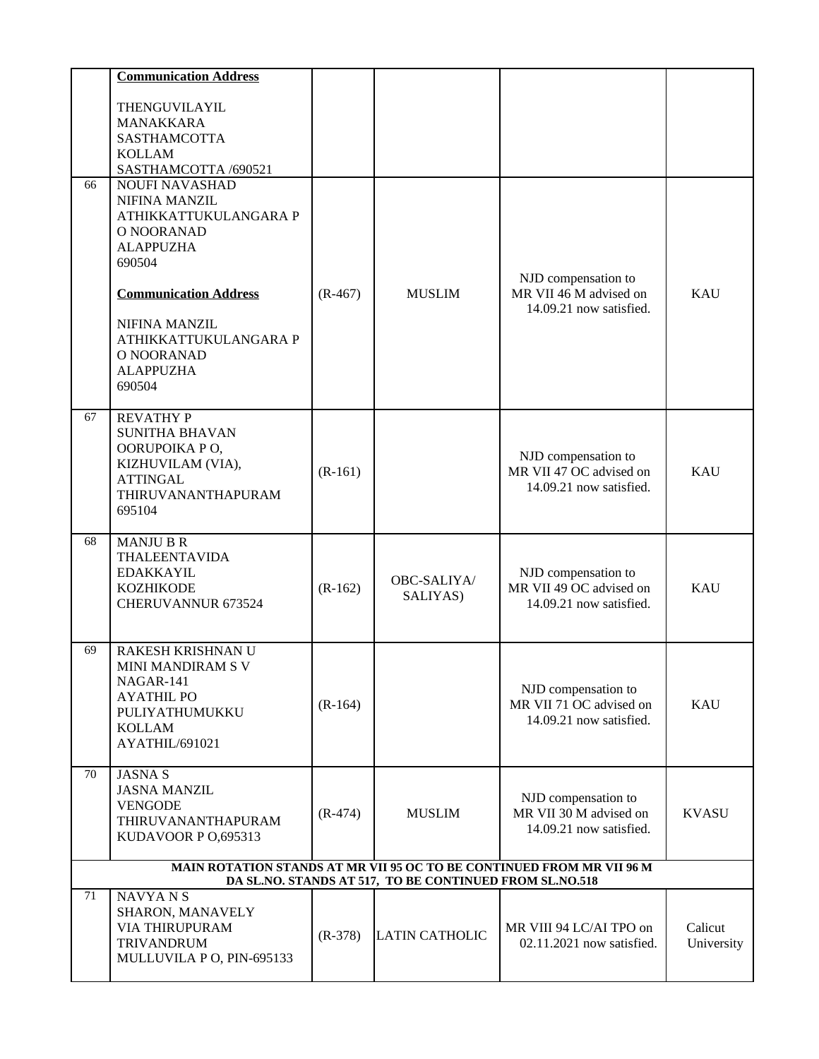|    | <b>Communication Address</b>                                                                                                     |           |                       |                                                                          |              |  |  |
|----|----------------------------------------------------------------------------------------------------------------------------------|-----------|-----------------------|--------------------------------------------------------------------------|--------------|--|--|
|    | THENGUVILAYIL                                                                                                                    |           |                       |                                                                          |              |  |  |
|    | MANAKKARA                                                                                                                        |           |                       |                                                                          |              |  |  |
|    | <b>SASTHAMCOTTA</b><br><b>KOLLAM</b>                                                                                             |           |                       |                                                                          |              |  |  |
|    | SASTHAMCOTTA /690521                                                                                                             |           |                       |                                                                          |              |  |  |
| 66 | <b>NOUFI NAVASHAD</b>                                                                                                            |           |                       |                                                                          |              |  |  |
|    | NIFINA MANZIL                                                                                                                    |           |                       |                                                                          |              |  |  |
|    | ATHIKKATTUKULANGARA P<br>O NOORANAD                                                                                              |           |                       |                                                                          |              |  |  |
|    | <b>ALAPPUZHA</b>                                                                                                                 |           |                       |                                                                          |              |  |  |
|    | 690504                                                                                                                           |           |                       |                                                                          |              |  |  |
|    | <b>Communication Address</b>                                                                                                     | $(R-467)$ | <b>MUSLIM</b>         | NJD compensation to<br>MR VII 46 M advised on<br>14.09.21 now satisfied. | <b>KAU</b>   |  |  |
|    | <b>NIFINA MANZIL</b>                                                                                                             |           |                       |                                                                          |              |  |  |
|    | ATHIKKATTUKULANGARA P                                                                                                            |           |                       |                                                                          |              |  |  |
|    | O NOORANAD<br><b>ALAPPUZHA</b>                                                                                                   |           |                       |                                                                          |              |  |  |
|    | 690504                                                                                                                           |           |                       |                                                                          |              |  |  |
| 67 | <b>REVATHY P</b>                                                                                                                 |           |                       |                                                                          |              |  |  |
|    | <b>SUNITHA BHAVAN</b>                                                                                                            |           |                       |                                                                          |              |  |  |
|    | OORUPOIKA PO,                                                                                                                    |           |                       | NJD compensation to                                                      | <b>KAU</b>   |  |  |
|    | KIZHUVILAM (VIA),<br><b>ATTINGAL</b>                                                                                             | $(R-161)$ |                       | MR VII 47 OC advised on                                                  |              |  |  |
|    | THIRUVANANTHAPURAM                                                                                                               |           |                       | 14.09.21 now satisfied.                                                  |              |  |  |
|    | 695104                                                                                                                           |           |                       |                                                                          |              |  |  |
| 68 | MANJU B R                                                                                                                        |           |                       |                                                                          |              |  |  |
|    | THALEENTAVIDA<br><b>EDAKKAYIL</b>                                                                                                |           |                       |                                                                          |              |  |  |
|    | <b>KOZHIKODE</b>                                                                                                                 | $(R-162)$ | OBC-SALIYA/           | NJD compensation to<br>MR VII 49 OC advised on                           | <b>KAU</b>   |  |  |
|    | CHERUVANNUR 673524                                                                                                               |           | SALIYAS)              | 14.09.21 now satisfied.                                                  |              |  |  |
|    |                                                                                                                                  |           |                       |                                                                          |              |  |  |
| 69 | RAKESH KRISHNAN U<br>MINI MANDIRAM S V                                                                                           |           |                       |                                                                          |              |  |  |
|    | NAGAR-141                                                                                                                        |           |                       |                                                                          |              |  |  |
|    | <b>AYATHIL PO</b>                                                                                                                | $(R-164)$ |                       | NJD compensation to<br>MR VII 71 OC advised on                           | <b>KAU</b>   |  |  |
|    | PULIYATHUMUKKU                                                                                                                   |           |                       | 14.09.21 now satisfied.                                                  |              |  |  |
|    | <b>KOLLAM</b><br>AYATHIL/691021                                                                                                  |           |                       |                                                                          |              |  |  |
|    |                                                                                                                                  |           |                       |                                                                          |              |  |  |
| 70 | <b>JASNA S</b><br><b>JASNA MANZIL</b>                                                                                            |           |                       |                                                                          |              |  |  |
|    | <b>VENGODE</b>                                                                                                                   | $(R-474)$ | <b>MUSLIM</b>         | NJD compensation to<br>MR VII 30 M advised on                            | <b>KVASU</b> |  |  |
|    | THIRUVANANTHAPURAM                                                                                                               |           |                       | 14.09.21 now satisfied.                                                  |              |  |  |
|    | KUDAVOOR P 0,695313                                                                                                              |           |                       |                                                                          |              |  |  |
|    | MAIN ROTATION STANDS AT MR VII 95 OC TO BE CONTINUED FROM MR VII 96 M<br>DA SL.NO. STANDS AT 517, TO BE CONTINUED FROM SL.NO.518 |           |                       |                                                                          |              |  |  |
| 71 | <b>NAVYANS</b>                                                                                                                   |           |                       |                                                                          |              |  |  |
|    | SHARON, MANAVELY<br><b>VIA THIRUPURAM</b>                                                                                        |           |                       | MR VIII 94 LC/AI TPO on                                                  | Calicut      |  |  |
|    | <b>TRIVANDRUM</b>                                                                                                                | $(R-378)$ | <b>LATIN CATHOLIC</b> | 02.11.2021 now satisfied.                                                | University   |  |  |
|    | MULLUVILA P O, PIN-695133                                                                                                        |           |                       |                                                                          |              |  |  |
|    |                                                                                                                                  |           |                       |                                                                          |              |  |  |